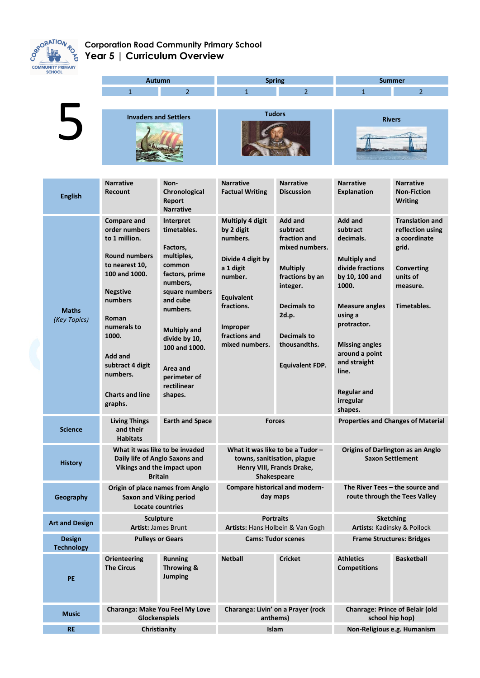

## **Corporation Road Community Primary School Year 5 | Curriculum Overview**

|                                    | <b>Autumn</b>                                                                                                                                                                                                                                                  |                                                                                                                                                                                                                                                     | <b>Spring</b>                                                                                                                                                                           |                                                                                                                                                                                                        | <b>Summer</b>                                                                                                                                                                                                                                                               |                                                                                                                                 |
|------------------------------------|----------------------------------------------------------------------------------------------------------------------------------------------------------------------------------------------------------------------------------------------------------------|-----------------------------------------------------------------------------------------------------------------------------------------------------------------------------------------------------------------------------------------------------|-----------------------------------------------------------------------------------------------------------------------------------------------------------------------------------------|--------------------------------------------------------------------------------------------------------------------------------------------------------------------------------------------------------|-----------------------------------------------------------------------------------------------------------------------------------------------------------------------------------------------------------------------------------------------------------------------------|---------------------------------------------------------------------------------------------------------------------------------|
|                                    | $\mathbf{1}$                                                                                                                                                                                                                                                   | $\overline{2}$                                                                                                                                                                                                                                      | $\mathbf{1}$                                                                                                                                                                            | $\overline{2}$                                                                                                                                                                                         | $\mathbf{1}$                                                                                                                                                                                                                                                                | $\overline{2}$                                                                                                                  |
| $\overline{\phantom{0}}$           | <b>Invaders and Settlers</b>                                                                                                                                                                                                                                   |                                                                                                                                                                                                                                                     | <b>Tudors</b>                                                                                                                                                                           |                                                                                                                                                                                                        | <b>Rivers</b>                                                                                                                                                                                                                                                               |                                                                                                                                 |
| <b>English</b>                     | <b>Narrative</b><br><b>Recount</b>                                                                                                                                                                                                                             | Non-<br>Chronological<br>Report<br><b>Narrative</b>                                                                                                                                                                                                 | <b>Narrative</b><br><b>Factual Writing</b>                                                                                                                                              | <b>Narrative</b><br><b>Discussion</b>                                                                                                                                                                  | <b>Narrative</b><br><b>Explanation</b>                                                                                                                                                                                                                                      | <b>Narrative</b><br><b>Non-Fiction</b><br><b>Writing</b>                                                                        |
| <b>Maths</b><br>(Key Topics)       | <b>Compare and</b><br>order numbers<br>to 1 million.<br><b>Round numbers</b><br>to nearest 10,<br>100 and 1000.<br><b>Negstive</b><br>numbers<br>Roman<br>numerals to<br>1000.<br>Add and<br>subtract 4 digit<br>numbers.<br><b>Charts and line</b><br>graphs. | Interpret<br>timetables.<br>Factors,<br>multiples,<br>common<br>factors, prime<br>numbers,<br>square numbers<br>and cube<br>numbers.<br><b>Multiply and</b><br>divide by 10,<br>100 and 1000.<br>Area and<br>perimeter of<br>rectilinear<br>shapes. | <b>Multiply 4 digit</b><br>by 2 digit<br>numbers.<br>Divide 4 digit by<br>a 1 digit<br>number.<br><b>Equivalent</b><br>fractions.<br><b>Improper</b><br>fractions and<br>mixed numbers. | <b>Add and</b><br>subtract<br>fraction and<br>mixed numbers.<br><b>Multiply</b><br>fractions by an<br>integer.<br>Decimals to<br>2d.p.<br><b>Decimals to</b><br>thousandths.<br><b>Equivalent FDP.</b> | Add and<br>subtract<br>decimals.<br><b>Multiply and</b><br>divide fractions<br>by 10, 100 and<br>1000.<br><b>Measure angles</b><br>using a<br>protractor.<br><b>Missing angles</b><br>around a point<br>and straight<br>line.<br><b>Regular and</b><br>irregular<br>shapes. | <b>Translation and</b><br>reflection using<br>a coordinate<br>grid.<br><b>Converting</b><br>units of<br>measure.<br>Timetables. |
| <b>Science</b>                     | <b>Living Things</b><br><b>Earth and Space</b><br>and their<br><b>Habitats</b>                                                                                                                                                                                 |                                                                                                                                                                                                                                                     | <b>Forces</b>                                                                                                                                                                           |                                                                                                                                                                                                        | <b>Properties and Changes of Material</b>                                                                                                                                                                                                                                   |                                                                                                                                 |
| <b>History</b>                     | What it was like to be invaded<br>Daily life of Anglo Saxons and<br>Vikings and the impact upon<br><b>Britain</b>                                                                                                                                              |                                                                                                                                                                                                                                                     | What it was like to be a Tudor -<br>towns, sanitisation, plague<br>Henry VIII, Francis Drake,<br>Shakespeare                                                                            |                                                                                                                                                                                                        | <b>Origins of Darlington as an Anglo</b><br><b>Saxon Settlement</b>                                                                                                                                                                                                         |                                                                                                                                 |
| Geography                          | Origin of place names from Anglo<br><b>Saxon and Viking period</b><br><b>Locate countries</b>                                                                                                                                                                  |                                                                                                                                                                                                                                                     | <b>Compare historical and modern-</b><br>day maps                                                                                                                                       |                                                                                                                                                                                                        | The River Tees – the source and<br>route through the Tees Valley                                                                                                                                                                                                            |                                                                                                                                 |
| <b>Art and Design</b>              | <b>Sculpture</b><br><b>Artist: James Brunt</b>                                                                                                                                                                                                                 |                                                                                                                                                                                                                                                     | <b>Portraits</b><br>Artists: Hans Holbein & Van Gogh                                                                                                                                    |                                                                                                                                                                                                        | <b>Sketching</b><br>Artists: Kadinsky & Pollock                                                                                                                                                                                                                             |                                                                                                                                 |
| <b>Design</b><br><b>Technology</b> | <b>Pulleys or Gears</b>                                                                                                                                                                                                                                        |                                                                                                                                                                                                                                                     | <b>Cams: Tudor scenes</b>                                                                                                                                                               |                                                                                                                                                                                                        | <b>Frame Structures: Bridges</b>                                                                                                                                                                                                                                            |                                                                                                                                 |
| PE                                 | <b>Orienteering</b><br><b>The Circus</b>                                                                                                                                                                                                                       | <b>Running</b><br>Throwing &<br><b>Jumping</b>                                                                                                                                                                                                      | <b>Netball</b>                                                                                                                                                                          | <b>Cricket</b>                                                                                                                                                                                         | <b>Athletics</b><br><b>Competitions</b>                                                                                                                                                                                                                                     | <b>Basketball</b>                                                                                                               |
| <b>Music</b>                       | Charanga: Make You Feel My Love<br>Glockenspiels                                                                                                                                                                                                               |                                                                                                                                                                                                                                                     | Charanga: Livin' on a Prayer (rock<br>anthems)                                                                                                                                          |                                                                                                                                                                                                        | <b>Chanrage: Prince of Belair (old</b><br>school hip hop)                                                                                                                                                                                                                   |                                                                                                                                 |
| <b>RE</b>                          | Christianity                                                                                                                                                                                                                                                   |                                                                                                                                                                                                                                                     | Islam                                                                                                                                                                                   |                                                                                                                                                                                                        | Non-Religious e.g. Humanism                                                                                                                                                                                                                                                 |                                                                                                                                 |